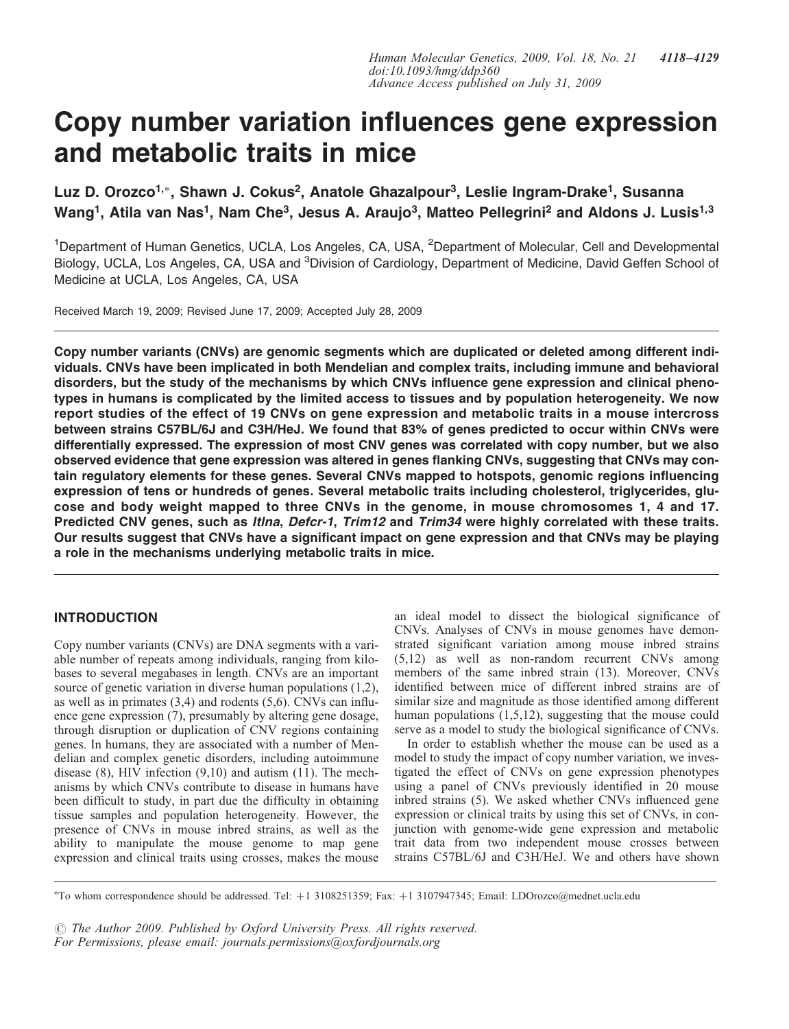# Copy number variation influences gene expression and metabolic traits in mice

Luz D. Orozco<sup>1,</sup>\*, Shawn J. Cokus<sup>2</sup>, Anatole Ghazalpour<sup>3</sup>, Leslie Ingram-Drake<sup>1</sup>, Susanna Wang<sup>1</sup>, Atila van Nas<sup>1</sup>, Nam Che<sup>3</sup>, Jesus A. Araujo<sup>3</sup>, Matteo Pellegrini<sup>2</sup> and Aldons J. Lusis<sup>1,3</sup>

<sup>1</sup>Department of Human Genetics, UCLA, Los Angeles, CA, USA, <sup>2</sup>Department of Molecular, Cell and Developmental Biology, UCLA, Los Angeles, CA, USA and <sup>3</sup>Division of Cardiology, Department of Medicine, David Geffen School of Medicine at UCLA, Los Angeles, CA, USA

Received March 19, 2009; Revised June 17, 2009; Accepted July 28, 2009

Copy number variants (CNVs) are genomic segments which are duplicated or deleted among different individuals. CNVs have been implicated in both Mendelian and complex traits, including immune and behavioral disorders, but the study of the mechanisms by which CNVs influence gene expression and clinical phenotypes in humans is complicated by the limited access to tissues and by population heterogeneity. We now report studies of the effect of 19 CNVs on gene expression and metabolic traits in a mouse intercross between strains C57BL/6J and C3H/HeJ. We found that 83% of genes predicted to occur within CNVs were differentially expressed. The expression of most CNV genes was correlated with copy number, but we also observed evidence that gene expression was altered in genes flanking CNVs, suggesting that CNVs may contain regulatory elements for these genes. Several CNVs mapped to hotspots, genomic regions influencing expression of tens or hundreds of genes. Several metabolic traits including cholesterol, triglycerides, glucose and body weight mapped to three CNVs in the genome, in mouse chromosomes 1, 4 and 17. Predicted CNV genes, such as Itlna, Defcr-1, Trim12 and Trim34 were highly correlated with these traits. Our results suggest that CNVs have a significant impact on gene expression and that CNVs may be playing a role in the mechanisms underlying metabolic traits in mice.

# INTRODUCTION

Copy number variants (CNVs) are DNA segments with a variable number of repeats among individuals, ranging from kilobases to several megabases in length. CNVs are an important source of genetic variation in diverse human populations (1,2), as well as in primates (3,4) and rodents (5,6). CNVs can influence gene expression (7), presumably by altering gene dosage, through disruption or duplication of CNV regions containing genes. In humans, they are associated with a number of Mendelian and complex genetic disorders, including autoimmune disease (8), HIV infection (9,10) and autism (11). The mechanisms by which CNVs contribute to disease in humans have been difficult to study, in part due the difficulty in obtaining tissue samples and population heterogeneity. However, the presence of CNVs in mouse inbred strains, as well as the ability to manipulate the mouse genome to map gene expression and clinical traits using crosses, makes the mouse

an ideal model to dissect the biological significance of CNVs. Analyses of CNVs in mouse genomes have demonstrated significant variation among mouse inbred strains (5,12) as well as non-random recurrent CNVs among members of the same inbred strain (13). Moreover, CNVs identified between mice of different inbred strains are of similar size and magnitude as those identified among different human populations  $(1,5,12)$ , suggesting that the mouse could serve as a model to study the biological significance of CNVs.

In order to establish whether the mouse can be used as a model to study the impact of copy number variation, we investigated the effect of CNVs on gene expression phenotypes using a panel of CNVs previously identified in 20 mouse inbred strains (5). We asked whether CNVs influenced gene expression or clinical traits by using this set of CNVs, in conjunction with genome-wide gene expression and metabolic trait data from two independent mouse crosses between strains C57BL/6J and C3H/HeJ. We and others have shown

 $\odot$  The Author 2009. Published by Oxford University Press. All rights reserved. For Permissions, please email: journals.permissions@oxfordjournals.org

<sup>\*</sup>To whom correspondence should be addressed. Tel: +1 3108251359; Fax: +1 3107947345; Email: LDOrozco@mednet.ucla.edu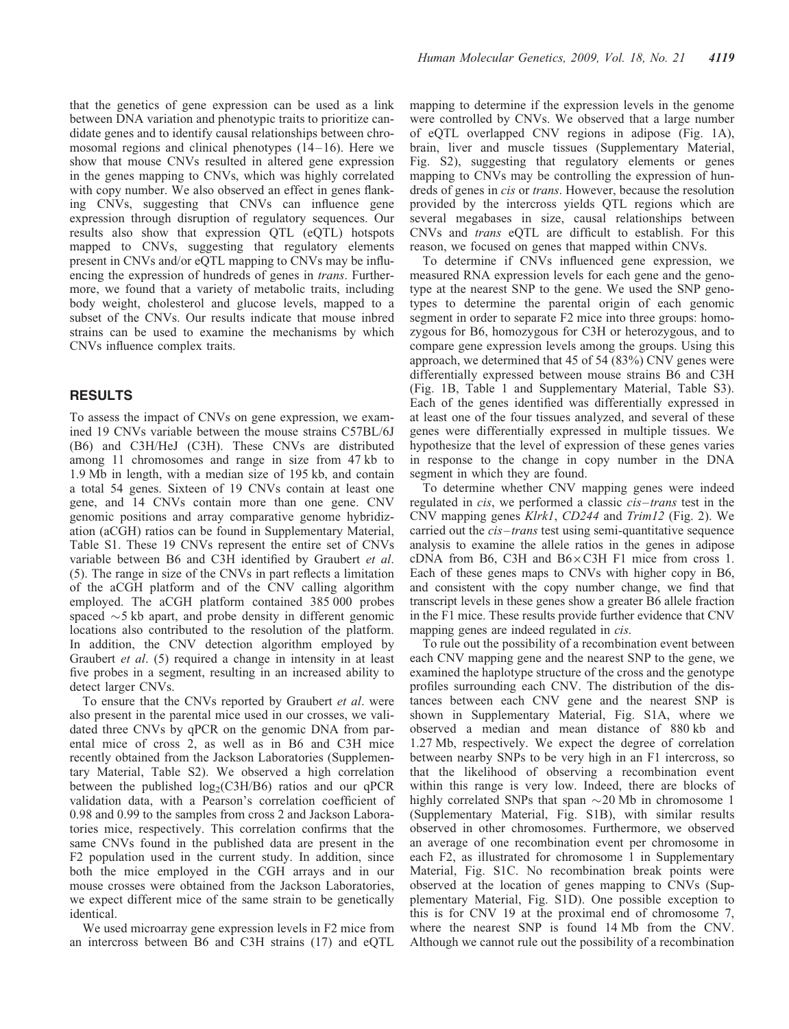that the genetics of gene expression can be used as a link between DNA variation and phenotypic traits to prioritize candidate genes and to identify causal relationships between chromosomal regions and clinical phenotypes  $(14-16)$ . Here we show that mouse CNVs resulted in altered gene expression in the genes mapping to CNVs, which was highly correlated with copy number. We also observed an effect in genes flanking CNVs, suggesting that CNVs can influence gene expression through disruption of regulatory sequences. Our results also show that expression QTL (eQTL) hotspots mapped to CNVs, suggesting that regulatory elements present in CNVs and/or eQTL mapping to CNVs may be influencing the expression of hundreds of genes in *trans*. Furthermore, we found that a variety of metabolic traits, including body weight, cholesterol and glucose levels, mapped to a subset of the CNVs. Our results indicate that mouse inbred strains can be used to examine the mechanisms by which CNVs influence complex traits.

## RESULTS

To assess the impact of CNVs on gene expression, we examined 19 CNVs variable between the mouse strains C57BL/6J (B6) and C3H/HeJ (C3H). These CNVs are distributed among 11 chromosomes and range in size from 47 kb to 1.9 Mb in length, with a median size of 195 kb, and contain a total 54 genes. Sixteen of 19 CNVs contain at least one gene, and 14 CNVs contain more than one gene. CNV genomic positions and array comparative genome hybridization (aCGH) ratios can be found in Supplementary Material, Table S1. These 19 CNVs represent the entire set of CNVs variable between B6 and C3H identified by Graubert et al. (5). The range in size of the CNVs in part reflects a limitation of the aCGH platform and of the CNV calling algorithm employed. The aCGH platform contained 385 000 probes spaced  $\sim$  5 kb apart, and probe density in different genomic locations also contributed to the resolution of the platform. In addition, the CNV detection algorithm employed by Graubert et al. (5) required a change in intensity in at least five probes in a segment, resulting in an increased ability to detect larger CNVs.

To ensure that the CNVs reported by Graubert et al. were also present in the parental mice used in our crosses, we validated three CNVs by qPCR on the genomic DNA from parental mice of cross 2, as well as in B6 and C3H mice recently obtained from the Jackson Laboratories (Supplementary Material, Table S2). We observed a high correlation between the published  $log_2(C3H/B6)$  ratios and our qPCR validation data, with a Pearson's correlation coefficient of 0.98 and 0.99 to the samples from cross 2 and Jackson Laboratories mice, respectively. This correlation confirms that the same CNVs found in the published data are present in the F2 population used in the current study. In addition, since both the mice employed in the CGH arrays and in our mouse crosses were obtained from the Jackson Laboratories, we expect different mice of the same strain to be genetically identical.

We used microarray gene expression levels in F2 mice from an intercross between B6 and C3H strains (17) and eQTL mapping to determine if the expression levels in the genome were controlled by CNVs. We observed that a large number of eQTL overlapped CNV regions in adipose (Fig. 1A), brain, liver and muscle tissues (Supplementary Material, Fig. S2), suggesting that regulatory elements or genes mapping to CNVs may be controlling the expression of hundreds of genes in *cis* or *trans*. However, because the resolution provided by the intercross yields QTL regions which are several megabases in size, causal relationships between CNVs and trans eQTL are difficult to establish. For this reason, we focused on genes that mapped within CNVs.

To determine if CNVs influenced gene expression, we measured RNA expression levels for each gene and the genotype at the nearest SNP to the gene. We used the SNP genotypes to determine the parental origin of each genomic segment in order to separate F2 mice into three groups: homozygous for B6, homozygous for C3H or heterozygous, and to compare gene expression levels among the groups. Using this approach, we determined that 45 of 54 (83%) CNV genes were differentially expressed between mouse strains B6 and C3H (Fig. 1B, Table 1 and Supplementary Material, Table S3). Each of the genes identified was differentially expressed in at least one of the four tissues analyzed, and several of these genes were differentially expressed in multiple tissues. We hypothesize that the level of expression of these genes varies in response to the change in copy number in the DNA segment in which they are found.

To determine whether CNV mapping genes were indeed regulated in cis, we performed a classic cis–trans test in the CNV mapping genes Klrk1, CD244 and Trim12 (Fig. 2). We carried out the *cis–trans* test using semi-quantitative sequence analysis to examine the allele ratios in the genes in adipose cDNA from B6, C3H and  $B6 \times C3H$  F1 mice from cross 1. Each of these genes maps to CNVs with higher copy in B6, and consistent with the copy number change, we find that transcript levels in these genes show a greater B6 allele fraction in the F1 mice. These results provide further evidence that CNV mapping genes are indeed regulated in *cis*.

To rule out the possibility of a recombination event between each CNV mapping gene and the nearest SNP to the gene, we examined the haplotype structure of the cross and the genotype profiles surrounding each CNV. The distribution of the distances between each CNV gene and the nearest SNP is shown in Supplementary Material, Fig. S1A, where we observed a median and mean distance of 880 kb and 1.27 Mb, respectively. We expect the degree of correlation between nearby SNPs to be very high in an F1 intercross, so that the likelihood of observing a recombination event within this range is very low. Indeed, there are blocks of highly correlated SNPs that span  $\sim$  20 Mb in chromosome 1 (Supplementary Material, Fig. S1B), with similar results observed in other chromosomes. Furthermore, we observed an average of one recombination event per chromosome in each F2, as illustrated for chromosome 1 in Supplementary Material, Fig. S1C. No recombination break points were observed at the location of genes mapping to CNVs (Supplementary Material, Fig. S1D). One possible exception to this is for CNV 19 at the proximal end of chromosome 7, where the nearest SNP is found 14 Mb from the CNV. Although we cannot rule out the possibility of a recombination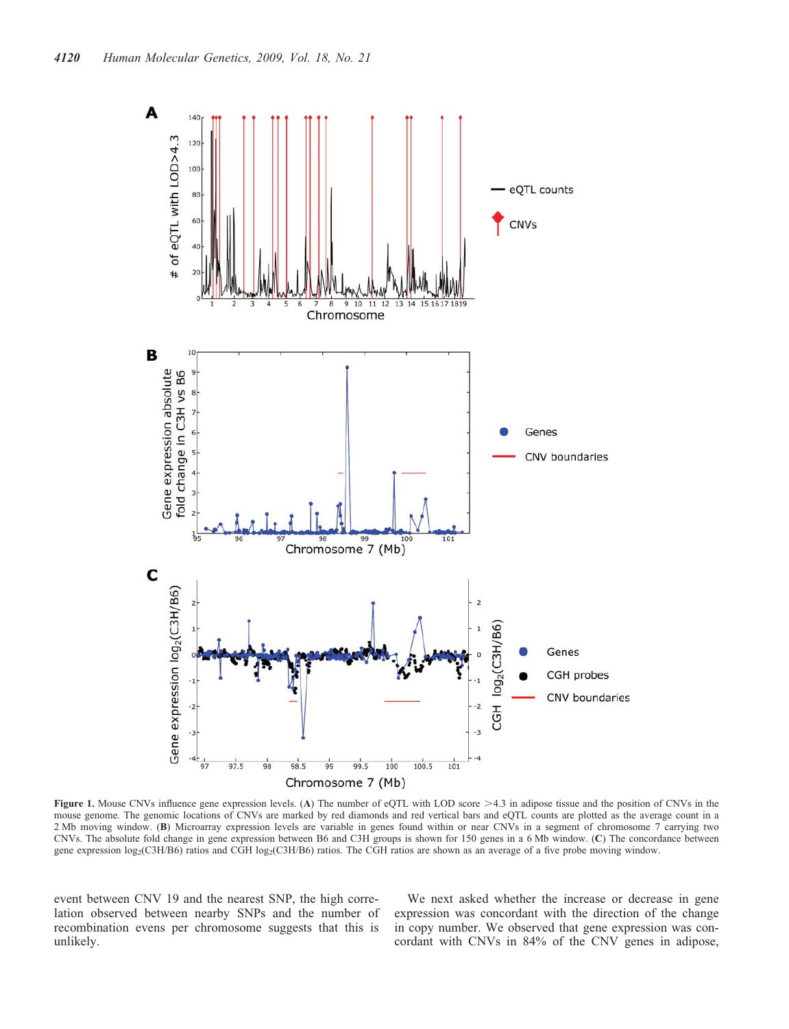

Figure 1. Mouse CNVs influence gene expression levels. (A) The number of eQTL with LOD score >4.3 in adipose tissue and the position of CNVs in the mouse genome. The genomic locations of CNVs are marked by red diamonds and red vertical bars and eQTL counts are plotted as the average count in a 2 Mb moving window. (B) Microarray expression levels are variable in genes found within or near CNVs in a segment of chromosome 7 carrying two CNVs. The absolute fold change in gene expression between B6 and C3H groups is shown for 150 genes in a 6 Mb window. (C) The concordance between gene expression log<sub>2</sub>(C3H/B6) ratios and CGH log<sub>2</sub>(C3H/B6) ratios. The CGH ratios are shown as an average of a five probe moving window.

event between CNV 19 and the nearest SNP, the high correlation observed between nearby SNPs and the number of recombination evens per chromosome suggests that this is unlikely.

We next asked whether the increase or decrease in gene expression was concordant with the direction of the change in copy number. We observed that gene expression was concordant with CNVs in 84% of the CNV genes in adipose,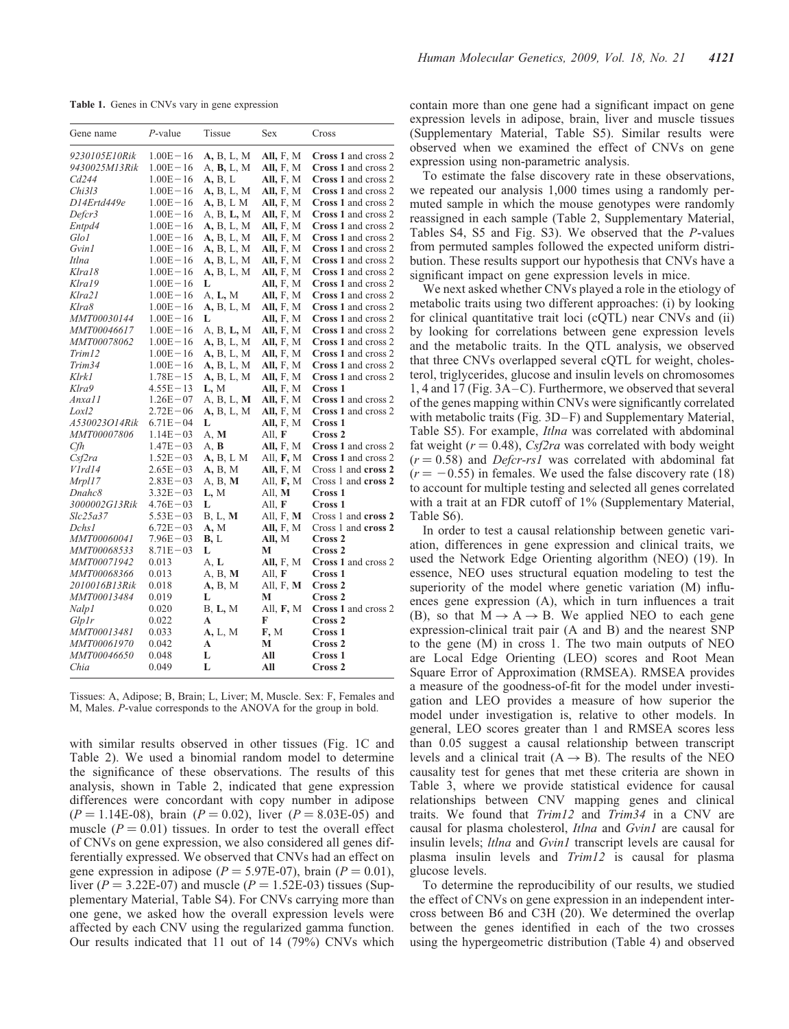Table 1. Genes in CNVs vary in gene expression

| Gene name           | $P$ -value   | Tissue            | Sex              | Cross                      |
|---------------------|--------------|-------------------|------------------|----------------------------|
| 9230105E10Rik       | $1.00E - 16$ | A, B, L, M        | All, $F, M$      | Cross 1 and cross 2        |
| 9430025M13Rik       | $1.00E - 16$ | A, <b>B,</b> L, M | <b>All, F, M</b> | Cross 1 and cross 2        |
| Cd244               | $1.00E - 16$ | A, B, L           | <b>All, F, M</b> | Cross 1 and cross 2        |
| Chi313              | $1.00E - 16$ | A, B, L, M        | All, F, M        | Cross 1 and cross 2        |
| D14Ertd449e         | $1.00E - 16$ | <b>A, B, L M</b>  | All, F, M        | Cross 1 and cross 2        |
| Defcr3              | $1.00E - 16$ | A, B, L, M        | All, F, M        | Cross 1 and cross 2        |
| Entpd4              | $1.00E - 16$ | A, B, L, M        | All, F, M        | Cross 1 and cross 2        |
| Glo1                | $1.00E - 16$ | A, B, L, M        | All, F, M        | Cross 1 and cross 2        |
| Gvin1               | $1.00E - 16$ | A, B, L, M        | All, F, M        | Cross 1 and cross 2        |
| Itlna               | $1.00E - 16$ | A, B, L, M        | All, F, M        | Cross 1 and cross 2        |
| Klra18              | $1.00E - 16$ | A, B, L, M        | All, F, M        | Cross 1 and cross 2        |
| Klra19              | $1.00E - 16$ | L                 | All, F, M        | Cross 1 and cross 2        |
| Klra21              | $1.00E - 16$ | A, L, M           | All, F, M        | Cross 1 and cross 2        |
| Klra8               | $1.00E - 16$ | A, B, L, M        | All, F, M        | Cross 1 and cross 2        |
| MMT00030144         | $1.00E - 16$ | L                 | All, F, M        | Cross 1 and cross 2        |
| <i>MMT00046617</i>  | $1.00E - 16$ | A, B, L, M        | All, F, M        | Cross 1 and cross 2        |
| <i>MMT00078062</i>  | $1.00E - 16$ | A, B, L, M        | All, F, M        | Cross 1 and cross 2        |
| Trim12              | $1.00E - 16$ | A, B, L, M        | All, $F, M$      | <b>Cross 1 and cross 2</b> |
| Trim34              | $1.00E - 16$ | A, B, L, M        | All, F, M        | Cross 1 and cross 2        |
| Klrk1               | $1.78E - 15$ | A, B, L, M        | All, F, M        | <b>Cross 1 and cross 2</b> |
| Klra9               | $4.55E - 13$ | L, M              | All, F, M        | Cross 1                    |
| Anxa11              | $1.26E - 07$ | A, B, L, M        | All, F, M        | Cross 1 and cross 2        |
| Loxl2               | $2.72E - 06$ | A, B, L, M        | All, F, M        | Cross 1 and cross 2        |
| A530023O14Rik       | $6.71E - 04$ | L                 | All, F, M        | Cross 1                    |
| MMT00007806         | $1.14E - 03$ | A, M              | All, F           | Cross <sub>2</sub>         |
| Cfh                 | $1.47E - 03$ | A, B              | <b>All, F, M</b> | Cross 1 and cross 2        |
| C <sub>s</sub> f2ra | $1.52E - 03$ | A, B, L M         | All, F, M        | Cross 1 and cross 2        |
| VIrd14              | $2.65E - 03$ | <b>A, B, M</b>    | <b>All, F, M</b> | Cross 1 and <b>cross 2</b> |
| Mrpl17              | $2.83E - 03$ | A, B, M           | All, F, M        | Cross 1 and cross 2        |
| Dnahc8              | $3.32E - 03$ | L, M              | All, M           | Cross 1                    |
| 3000002G13Rik       | $4.76E - 03$ | L                 | All, $\bf{F}$    | Cross 1                    |
| Slc25a37            | $5.53E - 03$ | B, L, M           | All, F, <b>M</b> | Cross 1 and cross 2        |
| Dchs1               | $6.72E - 03$ | А, М              | All, $F, M$      | Cross 1 and cross 2        |
| MMT00060041         | $7.96E - 03$ | B, L              | All, M           | Cross 2                    |
| <i>MMT00068533</i>  | $8.71E - 03$ | L                 | М                | Cross 2                    |
| MMT00071942         | 0.013        | A. L              | All, F, M        | Cross 1 and cross 2        |
| MMT00068366         | 0.013        | A, B, M           | All, F           | Cross 1                    |
| 2010016B13Rik       | 0.018        | A, B, M           | All, F, M        | Cross <sub>2</sub>         |
| <i>MMT00013484</i>  |              |                   |                  | Cross <sub>2</sub>         |
|                     | 0.019        | L                 | М                | Cross 1 and cross 2        |
| Nalp <sub>1</sub>   | 0.020        | B, L, M           | All, F, M        |                            |
| GlpIr               | 0.022        | A                 | F                | Cross 2                    |
| <i>MMT00013481</i>  | 0.033        | A, L, M           | F, M             | Cross 1                    |
| <i>MMT00061970</i>  | 0.042        | A                 | М                | Cross 2                    |
| <i>MMT00046650</i>  | 0.048        | L                 | All              | Cross 1                    |
| Chia                | 0.049        | L                 | All              | Cross 2                    |

Tissues: A, Adipose; B, Brain; L, Liver; M, Muscle. Sex: F, Females and M, Males. P-value corresponds to the ANOVA for the group in bold.

with similar results observed in other tissues (Fig. 1C and Table 2). We used a binomial random model to determine the significance of these observations. The results of this analysis, shown in Table 2, indicated that gene expression differences were concordant with copy number in adipose  $(P = 1.14E-08)$ , brain  $(P = 0.02)$ , liver  $(P = 8.03E-05)$  and muscle ( $P = 0.01$ ) tissues. In order to test the overall effect of CNVs on gene expression, we also considered all genes differentially expressed. We observed that CNVs had an effect on gene expression in adipose ( $P = 5.97E-07$ ), brain ( $P = 0.01$ ), liver ( $P = 3.22E-07$ ) and muscle ( $P = 1.52E-03$ ) tissues (Supplementary Material, Table S4). For CNVs carrying more than one gene, we asked how the overall expression levels were affected by each CNV using the regularized gamma function. Our results indicated that 11 out of 14 (79%) CNVs which contain more than one gene had a significant impact on gene expression levels in adipose, brain, liver and muscle tissues (Supplementary Material, Table S5). Similar results were observed when we examined the effect of CNVs on gene expression using non-parametric analysis.

To estimate the false discovery rate in these observations, we repeated our analysis 1,000 times using a randomly permuted sample in which the mouse genotypes were randomly reassigned in each sample (Table 2, Supplementary Material, Tables S4, S5 and Fig. S3). We observed that the P-values from permuted samples followed the expected uniform distribution. These results support our hypothesis that CNVs have a significant impact on gene expression levels in mice.

We next asked whether CNVs played a role in the etiology of metabolic traits using two different approaches: (i) by looking for clinical quantitative trait loci (cQTL) near CNVs and (ii) by looking for correlations between gene expression levels and the metabolic traits. In the QTL analysis, we observed that three CNVs overlapped several cQTL for weight, cholesterol, triglycerides, glucose and insulin levels on chromosomes 1, 4 and 17 (Fig. 3A –C). Furthermore, we observed that several of the genes mapping within CNVs were significantly correlated with metabolic traits (Fig. 3D–F) and Supplementary Material, Table S5). For example, Itlna was correlated with abdominal fat weight ( $r = 0.48$ ), Csf2ra was correlated with body weight  $(r = 0.58)$  and *Defcr-rs1* was correlated with abdominal fat  $(r = -0.55)$  in females. We used the false discovery rate (18) to account for multiple testing and selected all genes correlated with a trait at an FDR cutoff of 1% (Supplementary Material, Table S6).

In order to test a causal relationship between genetic variation, differences in gene expression and clinical traits, we used the Network Edge Orienting algorithm (NEO) (19). In essence, NEO uses structural equation modeling to test the superiority of the model where genetic variation (M) influences gene expression (A), which in turn influences a trait (B), so that  $M \rightarrow A \rightarrow B$ . We applied NEO to each gene expression-clinical trait pair (A and B) and the nearest SNP to the gene (M) in cross 1. The two main outputs of NEO are Local Edge Orienting (LEO) scores and Root Mean Square Error of Approximation (RMSEA). RMSEA provides a measure of the goodness-of-fit for the model under investigation and LEO provides a measure of how superior the model under investigation is, relative to other models. In general, LEO scores greater than 1 and RMSEA scores less than 0.05 suggest a causal relationship between transcript levels and a clinical trait  $(A \rightarrow B)$ . The results of the NEO causality test for genes that met these criteria are shown in Table 3, where we provide statistical evidence for causal relationships between CNV mapping genes and clinical traits. We found that Trim12 and Trim34 in a CNV are causal for plasma cholesterol, Itlna and Gvin1 are causal for insulin levels; *ltlna* and *Gvin1* transcript levels are causal for plasma insulin levels and Trim12 is causal for plasma glucose levels.

To determine the reproducibility of our results, we studied the effect of CNVs on gene expression in an independent intercross between B6 and C3H (20). We determined the overlap between the genes identified in each of the two crosses using the hypergeometric distribution (Table 4) and observed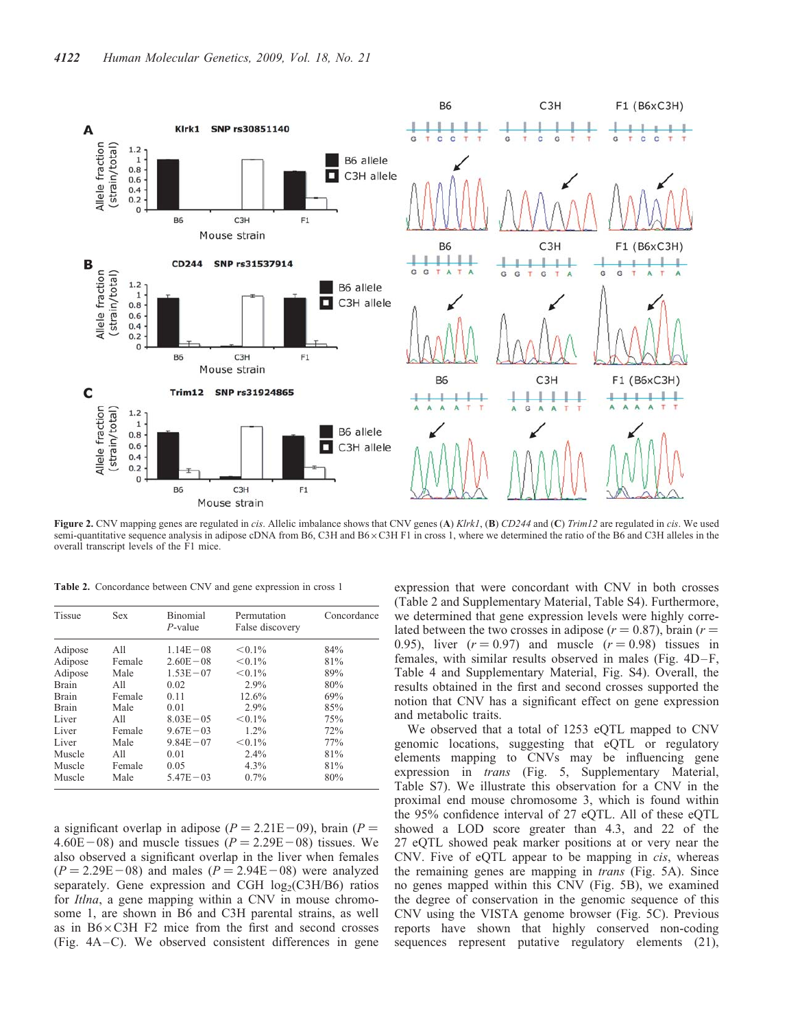

Figure 2. CNV mapping genes are regulated in cis. Allelic imbalance shows that CNV genes (A) Klrk1, (B) CD244 and (C) Trim12 are regulated in cis. We used semi-quantitative sequence analysis in adipose cDNA from B6, C3H and B6 x C3H F1 in cross 1, where we determined the ratio of the B6 and C3H alleles in the overall transcript levels of the F1 mice.

Table 2. Concordance between CNV and gene expression in cross 1

| <b>Tissue</b> | <b>Sex</b> | <b>Binomial</b><br>$P$ -value | Permutation<br>False discovery | Concordance |
|---------------|------------|-------------------------------|--------------------------------|-------------|
| Adipose       | A11        | $1.14E - 08$                  | $< 0.1\%$                      | 84%         |
| Adipose       | Female     | $2.60E - 08$                  | $< 0.1\%$                      | 81%         |
| Adipose       | Male       | $1.53E - 07$                  | $< 0.1\%$                      | 89%         |
| <b>Brain</b>  | A11        | 0.02                          | 2.9%                           | 80%         |
| <b>Brain</b>  | Female     | 0.11                          | 12.6%                          | 69%         |
| <b>Brain</b>  | Male       | 0.01                          | 2.9%                           | 85%         |
| Liver         | A11        | $8.03E - 0.5$                 | $< 0.1\%$                      | 75%         |
| Liver         | Female     | $9.67E - 03$                  | $1.2\%$                        | 72%         |
| Liver         | Male       | $9.84E - 07$                  | $< 0.1\%$                      | 77%         |
| Muscle        | A11        | 0.01                          | 2.4%                           | 81%         |
| Muscle        | Female     | 0.05                          | 4.3%                           | 81%         |
| Muscle        | Male       | $5.47E - 03$                  | 0.7%                           | 80%         |

a significant overlap in adipose ( $P = 2.21E-09$ ), brain ( $P =$  $4.60E-08$ ) and muscle tissues ( $P = 2.29E-08$ ) tissues. We also observed a significant overlap in the liver when females  $(P = 2.29E-08)$  and males  $(P = 2.94E-08)$  were analyzed separately. Gene expression and CGH  $log_2(C3H/B6)$  ratios for Itlna, a gene mapping within a CNV in mouse chromosome 1, are shown in B6 and C3H parental strains, as well as in  $B6 \times C3H$  F2 mice from the first and second crosses (Fig. 4A –C). We observed consistent differences in gene expression that were concordant with CNV in both crosses (Table 2 and Supplementary Material, Table S4). Furthermore, we determined that gene expression levels were highly correlated between the two crosses in adipose ( $r = 0.87$ ), brain ( $r =$ 0.95), liver  $(r = 0.97)$  and muscle  $(r = 0.98)$  tissues in females, with similar results observed in males (Fig. 4D-F, Table 4 and Supplementary Material, Fig. S4). Overall, the results obtained in the first and second crosses supported the notion that CNV has a significant effect on gene expression and metabolic traits.

We observed that a total of 1253 eQTL mapped to CNV genomic locations, suggesting that eQTL or regulatory elements mapping to CNVs may be influencing gene expression in *trans* (Fig. 5, Supplementary Material, Table S7). We illustrate this observation for a CNV in the proximal end mouse chromosome 3, which is found within the 95% confidence interval of 27 eQTL. All of these eQTL showed a LOD score greater than 4.3, and 22 of the 27 eQTL showed peak marker positions at or very near the CNV. Five of eQTL appear to be mapping in cis, whereas the remaining genes are mapping in trans (Fig. 5A). Since no genes mapped within this CNV (Fig. 5B), we examined the degree of conservation in the genomic sequence of this CNV using the VISTA genome browser (Fig. 5C). Previous reports have shown that highly conserved non-coding sequences represent putative regulatory elements (21),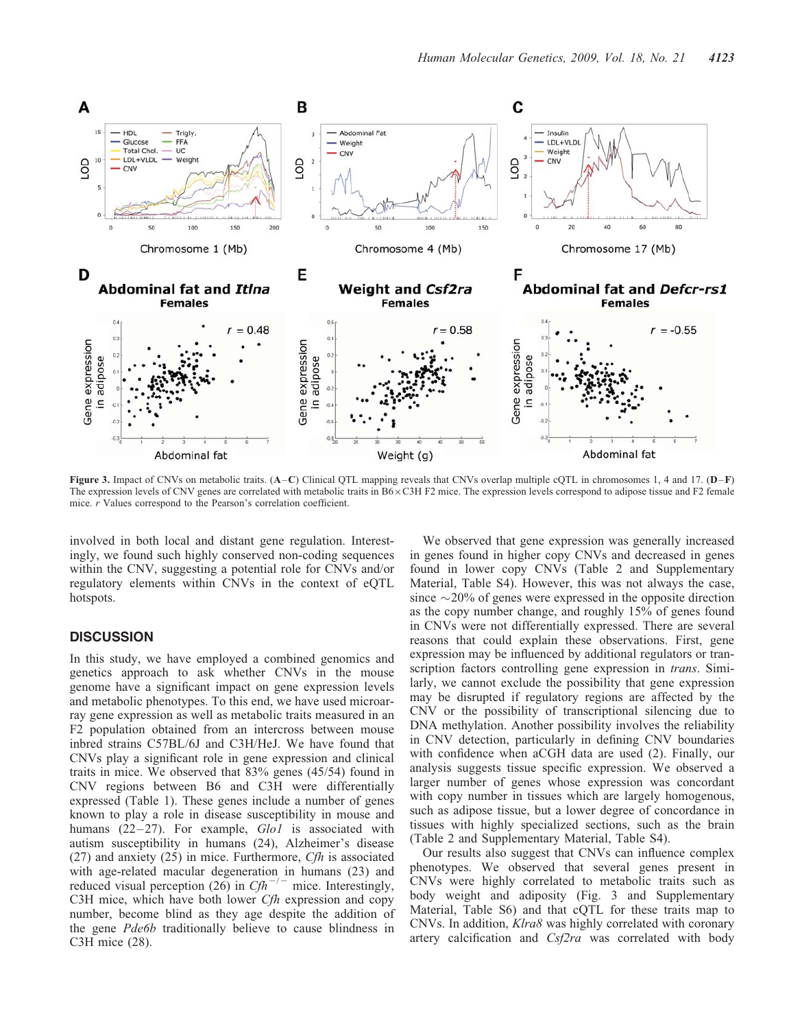

Figure 3. Impact of CNVs on metabolic traits. (A–C) Clinical QTL mapping reveals that CNVs overlap multiple cQTL in chromosomes 1, 4 and 17. (D–F) The expression levels of CNV genes are correlated with metabolic traits in  $B6 \times C3H$  F2 mice. The expression levels correspond to adipose tissue and F2 female mice. r Values correspond to the Pearson's correlation coefficient.

involved in both local and distant gene regulation. Interestingly, we found such highly conserved non-coding sequences within the CNV, suggesting a potential role for CNVs and/or regulatory elements within CNVs in the context of eQTL hotspots.

## **DISCUSSION**

In this study, we have employed a combined genomics and genetics approach to ask whether CNVs in the mouse genome have a significant impact on gene expression levels and metabolic phenotypes. To this end, we have used microarray gene expression as well as metabolic traits measured in an F2 population obtained from an intercross between mouse inbred strains C57BL/6J and C3H/HeJ. We have found that CNVs play a significant role in gene expression and clinical traits in mice. We observed that 83% genes (45/54) found in CNV regions between B6 and C3H were differentially expressed (Table 1). These genes include a number of genes known to play a role in disease susceptibility in mouse and humans  $(22-27)$ . For example,  $Glo1$  is associated with autism susceptibility in humans (24), Alzheimer's disease  $(27)$  and anxiety  $(25)$  in mice. Furthermore, *Cfh* is associated with age-related macular degeneration in humans (23) and reduced visual perception (26) in  $Ch^{-/-}$  mice. Interestingly, C3H mice, which have both lower Cfh expression and copy number, become blind as they age despite the addition of the gene Pde6b traditionally believe to cause blindness in C3H mice (28).

We observed that gene expression was generally increased in genes found in higher copy CNVs and decreased in genes found in lower copy CNVs (Table 2 and Supplementary Material, Table S4). However, this was not always the case, since  $\sim$  20% of genes were expressed in the opposite direction as the copy number change, and roughly 15% of genes found in CNVs were not differentially expressed. There are several reasons that could explain these observations. First, gene expression may be influenced by additional regulators or transcription factors controlling gene expression in *trans*. Similarly, we cannot exclude the possibility that gene expression may be disrupted if regulatory regions are affected by the CNV or the possibility of transcriptional silencing due to DNA methylation. Another possibility involves the reliability in CNV detection, particularly in defining CNV boundaries with confidence when aCGH data are used (2). Finally, our analysis suggests tissue specific expression. We observed a larger number of genes whose expression was concordant with copy number in tissues which are largely homogenous, such as adipose tissue, but a lower degree of concordance in tissues with highly specialized sections, such as the brain (Table 2 and Supplementary Material, Table S4).

Our results also suggest that CNVs can influence complex phenotypes. We observed that several genes present in CNVs were highly correlated to metabolic traits such as body weight and adiposity (Fig. 3 and Supplementary Material, Table S6) and that cQTL for these traits map to CNVs. In addition, Klra8 was highly correlated with coronary artery calcification and Csf2ra was correlated with body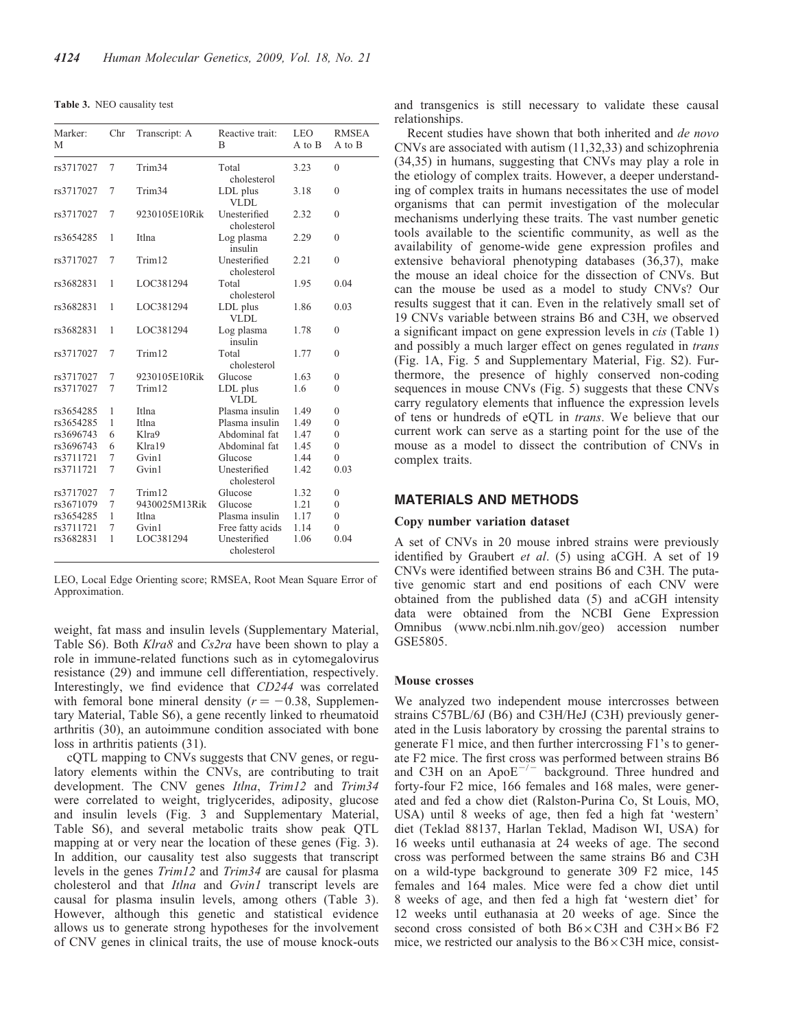|  |  | <b>Table 3.</b> NEO causality test |  |
|--|--|------------------------------------|--|
|--|--|------------------------------------|--|

| Marker:<br>М | Chr            | Transcript: A      | Reactive trait:<br>B        | <b>LEO</b><br>A to B | <b>RMSEA</b><br>A to B |
|--------------|----------------|--------------------|-----------------------------|----------------------|------------------------|
| rs3717027    | 7              | Trim <sub>34</sub> | Total<br>cholesterol        | 3.23                 | $\theta$               |
| rs3717027    | 7              | Trim <sub>34</sub> | LDL plus<br><b>VLDL</b>     | 3.18                 | $\theta$               |
| rs3717027    | 7              | 9230105E10Rik      | Unesterified<br>cholesterol | 2.32                 | $\theta$               |
| rs3654285    | 1              | Itlna              | Log plasma<br>insulin       | 2.29                 | $\theta$               |
| rs3717027    | 7              | Trim12             | Unesterified<br>cholesterol | 2.21                 | $\mathbf{0}$           |
| rs3682831    | 1              | LOC381294          | Total<br>cholesterol        | 1.95                 | 0.04                   |
| rs3682831    | 1              | LOC381294          | LDL plus<br>VLDL            | 1.86                 | 0.03                   |
| rs3682831    | 1              | LOC381294          | Log plasma<br>insulin       | 1.78                 | $\theta$               |
| rs3717027    | 7              | Trim12             | Total<br>cholesterol        | 1.77                 | $\theta$               |
| rs3717027    | 7              | 9230105E10Rik      | Glucose                     | 1.63                 | $\mathbf{0}$           |
| rs3717027    | $\overline{7}$ | Trim <sub>12</sub> | LDL plus<br>VLDL            | 1.6                  | $\theta$               |
| rs3654285    | 1              | Itlna              | Plasma insulin              | 1.49                 | $\theta$               |
| rs3654285    | 1              | Itlna              | Plasma insulin              | 1.49                 | $\mathbf{0}$           |
| rs3696743    | 6              | Klra9              | Abdominal fat               | 1.47                 | $\mathbf{0}$           |
| rs3696743    | 6              | Klra19             | Abdominal fat               | 1.45                 | $\mathbf{0}$           |
| rs3711721    | 7              | Gvin1              | Glucose                     | 1.44                 | $\mathbf{0}$           |
| rs3711721    | 7              | Gvin1              | Unesterified<br>cholesterol | 1.42                 | 0.03                   |
| rs3717027    | 7              | Trim12             | Glucose                     | 1.32                 | $\mathbf{0}$           |
| rs3671079    | 7              | 9430025M13Rik      | Glucose                     | 1.21                 | $\mathbf{0}$           |
| rs3654285    | $\mathbf{1}$   | Itlna              | Plasma insulin              | 1.17                 | $\mathbf{0}$           |
| rs3711721    | 7              | Gvin1              | Free fatty acids            | 1.14                 | $\mathbf{0}$           |
| rs3682831    | 1              | LOC381294          | Unesterified<br>cholesterol | 1.06                 | 0.04                   |

LEO, Local Edge Orienting score; RMSEA, Root Mean Square Error of Approximation.

weight, fat mass and insulin levels (Supplementary Material, Table S6). Both Klra8 and Cs2ra have been shown to play a role in immune-related functions such as in cytomegalovirus resistance (29) and immune cell differentiation, respectively. Interestingly, we find evidence that CD244 was correlated with femoral bone mineral density  $(r = -0.38,$  Supplementary Material, Table S6), a gene recently linked to rheumatoid arthritis (30), an autoimmune condition associated with bone loss in arthritis patients (31).

cQTL mapping to CNVs suggests that CNV genes, or regulatory elements within the CNVs, are contributing to trait development. The CNV genes Itlna, Trim12 and Trim34 were correlated to weight, triglycerides, adiposity, glucose and insulin levels (Fig. 3 and Supplementary Material, Table S6), and several metabolic traits show peak QTL mapping at or very near the location of these genes (Fig. 3). In addition, our causality test also suggests that transcript levels in the genes Trim12 and Trim34 are causal for plasma cholesterol and that Itlna and Gvin1 transcript levels are causal for plasma insulin levels, among others (Table 3). However, although this genetic and statistical evidence allows us to generate strong hypotheses for the involvement of CNV genes in clinical traits, the use of mouse knock-outs

and transgenics is still necessary to validate these causal relationships.

Recent studies have shown that both inherited and de novo CNVs are associated with autism (11,32,33) and schizophrenia (34,35) in humans, suggesting that CNVs may play a role in the etiology of complex traits. However, a deeper understanding of complex traits in humans necessitates the use of model organisms that can permit investigation of the molecular mechanisms underlying these traits. The vast number genetic tools available to the scientific community, as well as the availability of genome-wide gene expression profiles and extensive behavioral phenotyping databases (36,37), make the mouse an ideal choice for the dissection of CNVs. But can the mouse be used as a model to study CNVs? Our results suggest that it can. Even in the relatively small set of 19 CNVs variable between strains B6 and C3H, we observed a significant impact on gene expression levels in cis (Table 1) and possibly a much larger effect on genes regulated in *trans* (Fig. 1A, Fig. 5 and Supplementary Material, Fig. S2). Furthermore, the presence of highly conserved non-coding sequences in mouse CNVs (Fig. 5) suggests that these CNVs carry regulatory elements that influence the expression levels of tens or hundreds of eQTL in trans. We believe that our current work can serve as a starting point for the use of the mouse as a model to dissect the contribution of CNVs in complex traits.

#### MATERIALS AND METHODS

## Copy number variation dataset

A set of CNVs in 20 mouse inbred strains were previously identified by Graubert et al. (5) using aCGH. A set of 19 CNVs were identified between strains B6 and C3H. The putative genomic start and end positions of each CNV were obtained from the published data (5) and aCGH intensity data were obtained from the NCBI Gene Expression Omnibus (www.ncbi.nlm.nih.gov/geo) accession number GSE5805.

#### Mouse crosses

We analyzed two independent mouse intercrosses between strains C57BL/6J (B6) and C3H/HeJ (C3H) previously generated in the Lusis laboratory by crossing the parental strains to generate F1 mice, and then further intercrossing F1's to generate F2 mice. The first cross was performed between strains B6 and C3H on an  $ApoE^{-/-}$  background. Three hundred and forty-four F2 mice, 166 females and 168 males, were generated and fed a chow diet (Ralston-Purina Co, St Louis, MO, USA) until 8 weeks of age, then fed a high fat 'western' diet (Teklad 88137, Harlan Teklad, Madison WI, USA) for 16 weeks until euthanasia at 24 weeks of age. The second cross was performed between the same strains B6 and C3H on a wild-type background to generate 309 F2 mice, 145 females and 164 males. Mice were fed a chow diet until 8 weeks of age, and then fed a high fat 'western diet' for 12 weeks until euthanasia at 20 weeks of age. Since the second cross consisted of both  $B6 \times C3H$  and  $C3H \times B6$  F2 mice, we restricted our analysis to the  $B6 \times C3H$  mice, consist-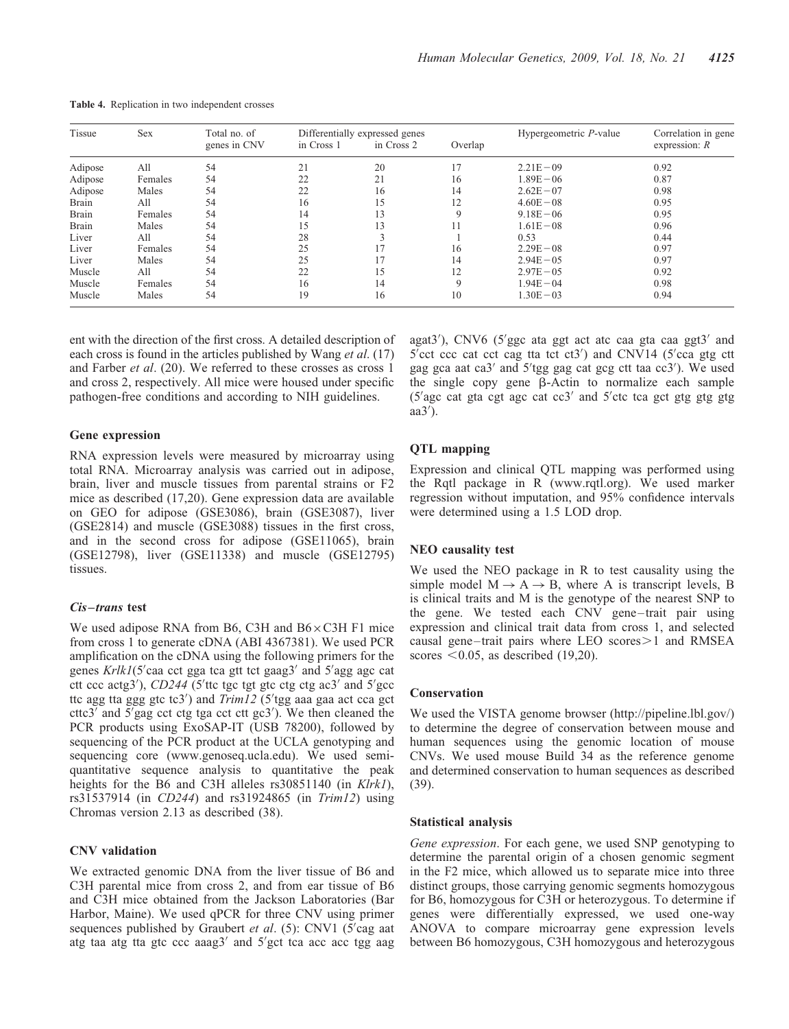| Tissue       | Sex     | Total no. of |            | Differentially expressed genes |             | Hypergeometric P-value | Correlation in gene<br>expression: $R$ |
|--------------|---------|--------------|------------|--------------------------------|-------------|------------------------|----------------------------------------|
|              |         | genes in CNV | in Cross 1 | in Cross 2                     | Overlap     |                        |                                        |
| Adipose      | All     | 54           | 21         | 20                             | 17          | $2.21E - 09$           | 0.92                                   |
| Adipose      | Females | 54           | 22         | 21                             | 16          | $1.89E - 06$           | 0.87                                   |
| Adipose      | Males   | 54           | 22         | 16                             | 14          | $2.62E - 07$           | 0.98                                   |
| Brain        | All     | 54           | 16         | 15                             | 12          | $4.60E - 08$           | 0.95                                   |
| <b>Brain</b> | Females | 54           | 14         | 13                             | 9           | $9.18E - 06$           | 0.95                                   |
| <b>Brain</b> | Males   | 54           | 15         | 13                             | 11          | $1.61E - 08$           | 0.96                                   |
| Liver        | All     | 54           | 28         |                                |             | 0.53                   | 0.44                                   |
| Liver        | Females | 54           | 25         | 1 <sub>7</sub>                 | 16          | $2.29E - 08$           | 0.97                                   |
| Liver        | Males   | 54           | 25         | 17                             | 14          | $2.94E - 05$           | 0.97                                   |
| Muscle       | All     | 54           | 22         | 15                             | 12          | $2.97E - 0.5$          | 0.92                                   |
| Muscle       | Females | 54           | 16         | 14                             | $\mathbf Q$ | $1.94E - 04$           | 0.98                                   |
| Muscle       | Males   | 54           | 19         | 16                             | 10          | $1.30E - 03$           | 0.94                                   |

Table 4. Replication in two independent crosses

ent with the direction of the first cross. A detailed description of each cross is found in the articles published by Wang *et al.* (17) and Farber et al. (20). We referred to these crosses as cross 1 and cross 2, respectively. All mice were housed under specific pathogen-free conditions and according to NIH guidelines.

#### Gene expression

RNA expression levels were measured by microarray using total RNA. Microarray analysis was carried out in adipose, brain, liver and muscle tissues from parental strains or F2 mice as described (17,20). Gene expression data are available on GEO for adipose (GSE3086), brain (GSE3087), liver (GSE2814) and muscle (GSE3088) tissues in the first cross, and in the second cross for adipose (GSE11065), brain (GSE12798), liver (GSE11338) and muscle (GSE12795) tissues.

#### Cis-trans test

We used adipose RNA from B6, C3H and  $B6 \times C3H$  F1 mice from cross 1 to generate cDNA (ABI 4367381). We used PCR amplification on the cDNA using the following primers for the genes Krlk1(5'caa cct gga tca gtt tct gaag3' and 5'agg agc cat ctt ccc actg3'),  $CD244$  (5'ttc tgc tgt gtc ctg ctg ac3' and 5'gcc ttc agg tta ggg gtc tc3') and  $Trim12$  (5'tgg aaa gaa act cca gct cttc3' and 5'gag cct ctg tga cct ctt gc3'). We then cleaned the PCR products using ExoSAP-IT (USB 78200), followed by sequencing of the PCR product at the UCLA genotyping and sequencing core (www.genoseq.ucla.edu). We used semiquantitative sequence analysis to quantitative the peak heights for the B6 and C3H alleles rs30851140 (in Klrk1), rs31537914 (in CD244) and rs31924865 (in Trim12) using Chromas version 2.13 as described (38).

#### CNV validation

We extracted genomic DNA from the liver tissue of B6 and C3H parental mice from cross 2, and from ear tissue of B6 and C3H mice obtained from the Jackson Laboratories (Bar Harbor, Maine). We used qPCR for three CNV using primer sequences published by Graubert et al.  $(5)$ : CNV1  $(5)$ cag aat atg taa atg tta gtc ccc aaag3' and 5'gct tca acc acc tgg aag

agat3'), CNV6 (5'ggc ata ggt act atc caa gta caa ggt3' and 5'cct ccc cat cct cag tta tct ct3') and CNV14 (5'cca gtg ctt gag gca aat ca3' and 5'tgg gag cat gcg ctt taa cc3'). We used the single copy gene  $\beta$ -Actin to normalize each sample (5'agc cat gta cgt agc cat cc3' and 5'ctc tca gct gtg gtg gtg  $aa3'$ ).

#### QTL mapping

Expression and clinical QTL mapping was performed using the Rqtl package in R (www.rqtl.org). We used marker regression without imputation, and 95% confidence intervals were determined using a 1.5 LOD drop.

#### NEO causality test

We used the NEO package in R to test causality using the simple model  $M \rightarrow A \rightarrow B$ , where A is transcript levels, B is clinical traits and M is the genotype of the nearest SNP to the gene. We tested each CNV gene –trait pair using expression and clinical trait data from cross 1, and selected causal gene-trait pairs where LEO scores $>1$  and RMSEA scores  $< 0.05$ , as described (19,20).

#### Conservation

We used the VISTA genome browser (http://pipeline.lbl.gov/) to determine the degree of conservation between mouse and human sequences using the genomic location of mouse CNVs. We used mouse Build 34 as the reference genome and determined conservation to human sequences as described (39).

## Statistical analysis

Gene expression. For each gene, we used SNP genotyping to determine the parental origin of a chosen genomic segment in the F2 mice, which allowed us to separate mice into three distinct groups, those carrying genomic segments homozygous for B6, homozygous for C3H or heterozygous. To determine if genes were differentially expressed, we used one-way ANOVA to compare microarray gene expression levels between B6 homozygous, C3H homozygous and heterozygous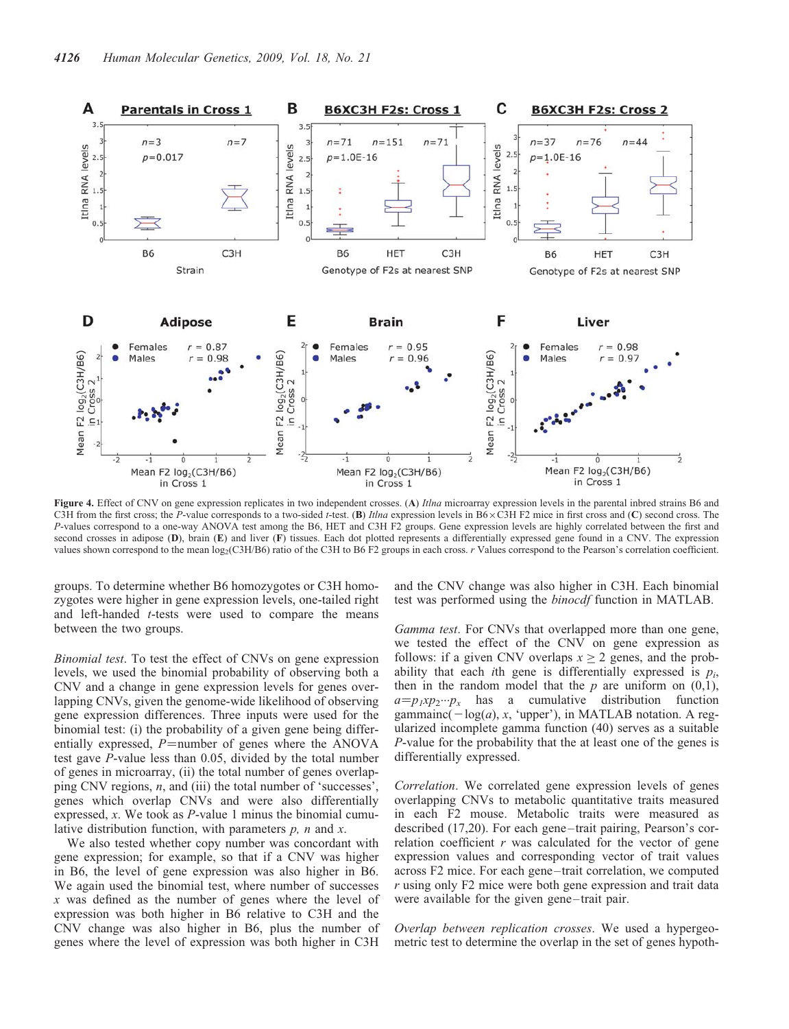

Figure 4. Effect of CNV on gene expression replicates in two independent crosses. (A) Itlna microarray expression levels in the parental inbred strains B6 and C3H from the first cross; the P-value corresponds to a two-sided t-test. (B) Itlna expression levels in B6 $\times$ C3H F2 mice in first cross and (C) second cross. The P-values correspond to a one-way ANOVA test among the B6, HET and C3H F2 groups. Gene expression levels are highly correlated between the first and second crosses in adipose (D), brain (E) and liver (F) tissues. Each dot plotted represents a differentially expressed gene found in a CNV. The expression values shown correspond to the mean log<sub>2</sub>(C3H/B6) ratio of the C3H to B6 F2 groups in each cross. r Values correspond to the Pearson's correlation coefficient.

groups. To determine whether B6 homozygotes or C3H homozygotes were higher in gene expression levels, one-tailed right and left-handed  $t$ -tests were used to compare the means between the two groups.

Binomial test. To test the effect of CNVs on gene expression levels, we used the binomial probability of observing both a CNV and a change in gene expression levels for genes overlapping CNVs, given the genome-wide likelihood of observing gene expression differences. Three inputs were used for the binomial test: (i) the probability of a given gene being differentially expressed,  $P=$ number of genes where the ANOVA test gave P-value less than 0.05, divided by the total number of genes in microarray, (ii) the total number of genes overlapping CNV regions, n, and (iii) the total number of 'successes', genes which overlap CNVs and were also differentially expressed, x. We took as P-value 1 minus the binomial cumulative distribution function, with parameters  $p$ ,  $n$  and  $x$ .

We also tested whether copy number was concordant with gene expression; for example, so that if a CNV was higher in B6, the level of gene expression was also higher in B6. We again used the binomial test, where number of successes x was defined as the number of genes where the level of expression was both higher in B6 relative to C3H and the CNV change was also higher in B6, plus the number of genes where the level of expression was both higher in C3H

and the CNV change was also higher in C3H. Each binomial test was performed using the binocdf function in MATLAB.

Gamma test. For CNVs that overlapped more than one gene, we tested the effect of the CNV on gene expression as follows: if a given CNV overlaps  $x \ge 2$  genes, and the probability that each *i*th gene is differentially expressed is  $p_i$ , then in the random model that the  $p$  are uniform on  $(0,1)$ ,  $a=p_1xp_2\cdots p_x$  has a cumulative distribution function gammainc( $-\log(a)$ , x, 'upper'), in MATLAB notation. A regularized incomplete gamma function (40) serves as a suitable P-value for the probability that the at least one of the genes is differentially expressed.

Correlation. We correlated gene expression levels of genes overlapping CNVs to metabolic quantitative traits measured in each F2 mouse. Metabolic traits were measured as described (17,20). For each gene-trait pairing, Pearson's correlation coefficient  $r$  was calculated for the vector of gene expression values and corresponding vector of trait values across F2 mice. For each gene –trait correlation, we computed  $r$  using only F2 mice were both gene expression and trait data were available for the given gene-trait pair.

Overlap between replication crosses. We used a hypergeometric test to determine the overlap in the set of genes hypoth-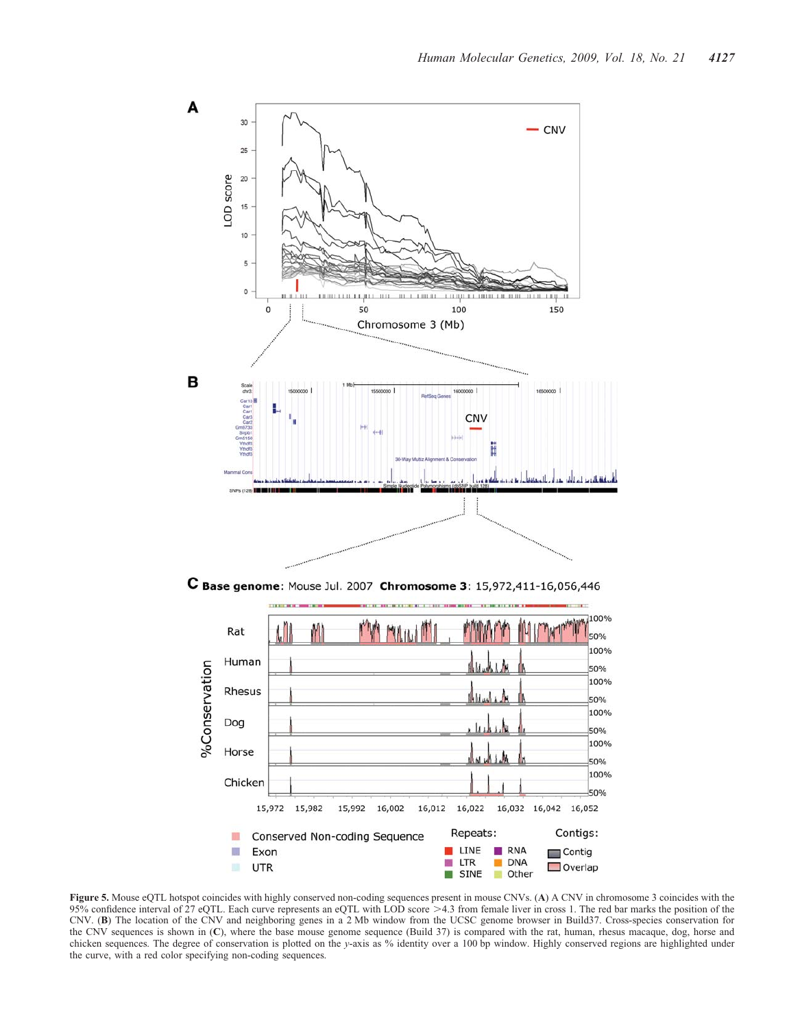

C Base genome: Mouse Jul. 2007 Chromosome 3: 15,972,411-16,056,446



Figure 5. Mouse eQTL hotspot coincides with highly conserved non-coding sequences present in mouse CNVs. (A) A CNV in chromosome 3 coincides with the 95% confidence interval of 27 eQTL. Each curve represents an eQTL with LOD score >4.3 from female liver in cross 1. The red bar marks the position of the CNV. (B) The location of the CNV and neighboring genes in a 2 Mb window from the UCSC genome browser in Build37. Cross-species conservation for the CNV sequences is shown in (C), where the base mouse genome sequence (Build 37) is compared with the rat, human, rhesus macaque, dog, horse and chicken sequences. The degree of conservation is plotted on the y-axis as % identity over a 100 bp window. Highly conserved regions are highlighted under the curve, with a red color specifying non-coding sequences.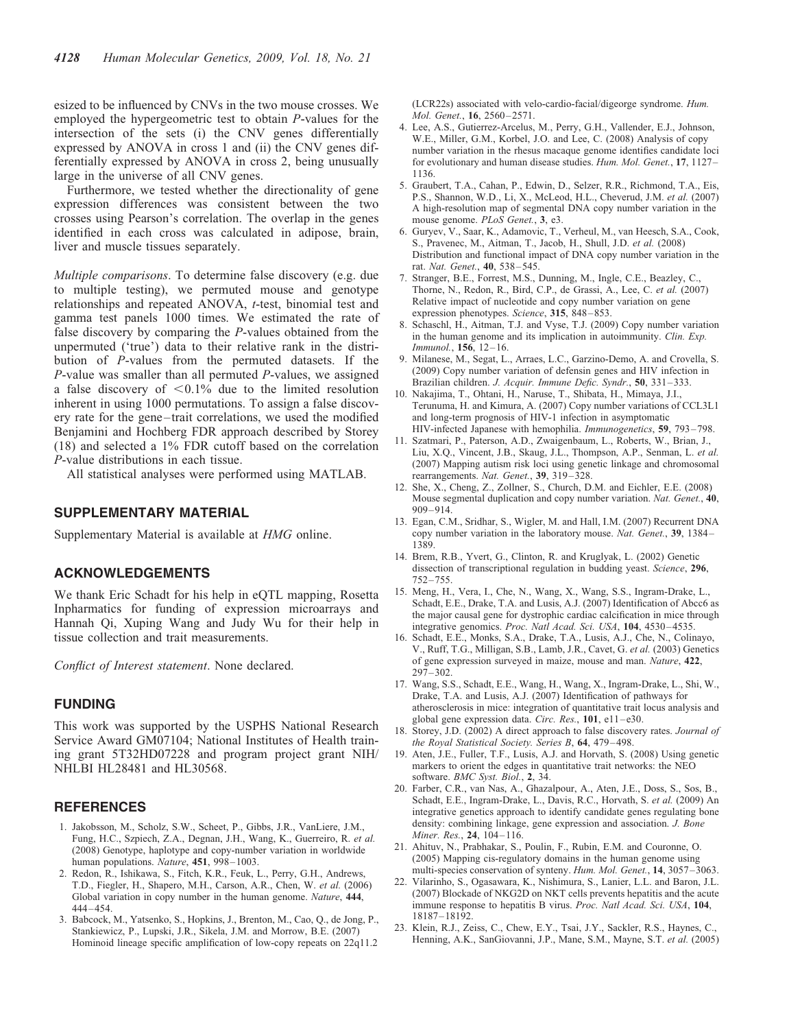esized to be influenced by CNVs in the two mouse crosses. We employed the hypergeometric test to obtain P-values for the intersection of the sets (i) the CNV genes differentially expressed by ANOVA in cross 1 and (ii) the CNV genes differentially expressed by ANOVA in cross 2, being unusually large in the universe of all CNV genes.

Furthermore, we tested whether the directionality of gene expression differences was consistent between the two crosses using Pearson's correlation. The overlap in the genes identified in each cross was calculated in adipose, brain, liver and muscle tissues separately.

Multiple comparisons. To determine false discovery (e.g. due to multiple testing), we permuted mouse and genotype relationships and repeated ANOVA, t-test, binomial test and gamma test panels 1000 times. We estimated the rate of false discovery by comparing the P-values obtained from the unpermuted ('true') data to their relative rank in the distribution of P-values from the permuted datasets. If the P-value was smaller than all permuted P-values, we assigned a false discovery of  $\leq 0.1\%$  due to the limited resolution inherent in using 1000 permutations. To assign a false discovery rate for the gene –trait correlations, we used the modified Benjamini and Hochberg FDR approach described by Storey (18) and selected a 1% FDR cutoff based on the correlation P-value distributions in each tissue.

All statistical analyses were performed using MATLAB.

## SUPPLEMENTARY MATERIAL

Supplementary Material is available at HMG online.

### ACKNOWLEDGEMENTS

We thank Eric Schadt for his help in eQTL mapping, Rosetta Inpharmatics for funding of expression microarrays and Hannah Qi, Xuping Wang and Judy Wu for their help in tissue collection and trait measurements.

Conflict of Interest statement. None declared.

## **FUNDING**

This work was supported by the USPHS National Research Service Award GM07104; National Institutes of Health training grant 5T32HD07228 and program project grant NIH/ NHLBI HL28481 and HL30568.

#### **REFERENCES**

- 1. Jakobsson, M., Scholz, S.W., Scheet, P., Gibbs, J.R., VanLiere, J.M., Fung, H.C., Szpiech, Z.A., Degnan, J.H., Wang, K., Guerreiro, R. et al. (2008) Genotype, haplotype and copy-number variation in worldwide human populations. Nature, 451, 998-1003.
- 2. Redon, R., Ishikawa, S., Fitch, K.R., Feuk, L., Perry, G.H., Andrews, T.D., Fiegler, H., Shapero, M.H., Carson, A.R., Chen, W. et al. (2006) Global variation in copy number in the human genome. Nature, 444, 444– 454.
- 3. Babcock, M., Yatsenko, S., Hopkins, J., Brenton, M., Cao, Q., de Jong, P., Stankiewicz, P., Lupski, J.R., Sikela, J.M. and Morrow, B.E. (2007) Hominoid lineage specific amplification of low-copy repeats on 22q11.2

(LCR22s) associated with velo-cardio-facial/digeorge syndrome. Hum. Mol. Genet., 16, 2560–2571.

- 4. Lee, A.S., Gutierrez-Arcelus, M., Perry, G.H., Vallender, E.J., Johnson, W.E., Miller, G.M., Korbel, J.O. and Lee, C. (2008) Analysis of copy number variation in the rhesus macaque genome identifies candidate loci for evolutionary and human disease studies. Hum. Mol. Genet., 17, 1127– 1136.
- 5. Graubert, T.A., Cahan, P., Edwin, D., Selzer, R.R., Richmond, T.A., Eis, P.S., Shannon, W.D., Li, X., McLeod, H.L., Cheverud, J.M. et al. (2007) A high-resolution map of segmental DNA copy number variation in the mouse genome. PLoS Genet., 3, e3.
- 6. Guryev, V., Saar, K., Adamovic, T., Verheul, M., van Heesch, S.A., Cook, S., Pravenec, M., Aitman, T., Jacob, H., Shull, J.D. et al. (2008) Distribution and functional impact of DNA copy number variation in the rat. Nat. Genet., 40, 538-545.
- 7. Stranger, B.E., Forrest, M.S., Dunning, M., Ingle, C.E., Beazley, C., Thorne, N., Redon, R., Bird, C.P., de Grassi, A., Lee, C. et al. (2007) Relative impact of nucleotide and copy number variation on gene expression phenotypes. Science, 315, 848–853.
- 8. Schaschl, H., Aitman, T.J. and Vyse, T.J. (2009) Copy number variation in the human genome and its implication in autoimmunity. Clin. Exp. Immunol., 156, 12–16.
- 9. Milanese, M., Segat, L., Arraes, L.C., Garzino-Demo, A. and Crovella, S. (2009) Copy number variation of defensin genes and HIV infection in Brazilian children. J. Acquir. Immune Defic. Syndr., 50, 331–333.
- 10. Nakajima, T., Ohtani, H., Naruse, T., Shibata, H., Mimaya, J.I., Terunuma, H. and Kimura, A. (2007) Copy number variations of CCL3L1 and long-term prognosis of HIV-1 infection in asymptomatic HIV-infected Japanese with hemophilia. Immunogenetics, 59, 793 –798.
- 11. Szatmari, P., Paterson, A.D., Zwaigenbaum, L., Roberts, W., Brian, J., Liu, X.Q., Vincent, J.B., Skaug, J.L., Thompson, A.P., Senman, L. et al. (2007) Mapping autism risk loci using genetic linkage and chromosomal rearrangements. Nat. Genet., 39, 319-328.
- 12. She, X., Cheng, Z., Zollner, S., Church, D.M. and Eichler, E.E. (2008) Mouse segmental duplication and copy number variation. Nat. Genet., 40, 909–914.
- 13. Egan, C.M., Sridhar, S., Wigler, M. and Hall, I.M. (2007) Recurrent DNA copy number variation in the laboratory mouse. Nat. Genet., 39, 1384– 1389.
- 14. Brem, R.B., Yvert, G., Clinton, R. and Kruglyak, L. (2002) Genetic dissection of transcriptional regulation in budding yeast. Science, 296, 752–755.
- 15. Meng, H., Vera, I., Che, N., Wang, X., Wang, S.S., Ingram-Drake, L., Schadt, E.E., Drake, T.A. and Lusis, A.J. (2007) Identification of Abcc6 as the major causal gene for dystrophic cardiac calcification in mice through integrative genomics. Proc. Natl Acad. Sci. USA, 104, 4530-4535.
- 16. Schadt, E.E., Monks, S.A., Drake, T.A., Lusis, A.J., Che, N., Colinayo, V., Ruff, T.G., Milligan, S.B., Lamb, J.R., Cavet, G. et al. (2003) Genetics of gene expression surveyed in maize, mouse and man. Nature, 422,  $297 - 302$
- 17. Wang, S.S., Schadt, E.E., Wang, H., Wang, X., Ingram-Drake, L., Shi, W., Drake, T.A. and Lusis, A.J. (2007) Identification of pathways for atherosclerosis in mice: integration of quantitative trait locus analysis and global gene expression data. Circ. Res., 101, e11-e30.
- 18. Storey, J.D. (2002) A direct approach to false discovery rates. Journal of the Royal Statistical Society. Series B, 64, 479–498.
- 19. Aten, J.E., Fuller, T.F., Lusis, A.J. and Horvath, S. (2008) Using genetic markers to orient the edges in quantitative trait networks: the NEO software. BMC Syst. Biol., 2, 34.
- 20. Farber, C.R., van Nas, A., Ghazalpour, A., Aten, J.E., Doss, S., Sos, B., Schadt, E.E., Ingram-Drake, L., Davis, R.C., Horvath, S. et al. (2009) An integrative genetics approach to identify candidate genes regulating bone density: combining linkage, gene expression and association. J. Bone Miner. Res., **24**, 104–116.
- 21. Ahituv, N., Prabhakar, S., Poulin, F., Rubin, E.M. and Couronne, O. (2005) Mapping cis-regulatory domains in the human genome using multi-species conservation of synteny. Hum. Mol. Genet., 14, 3057–3063.
- 22. Vilarinho, S., Ogasawara, K., Nishimura, S., Lanier, L.L. and Baron, J.L. (2007) Blockade of NKG2D on NKT cells prevents hepatitis and the acute immune response to hepatitis B virus. Proc. Natl Acad. Sci. USA, 104, 18187– 18192.
- 23. Klein, R.J., Zeiss, C., Chew, E.Y., Tsai, J.Y., Sackler, R.S., Haynes, C., Henning, A.K., SanGiovanni, J.P., Mane, S.M., Mayne, S.T. et al. (2005)